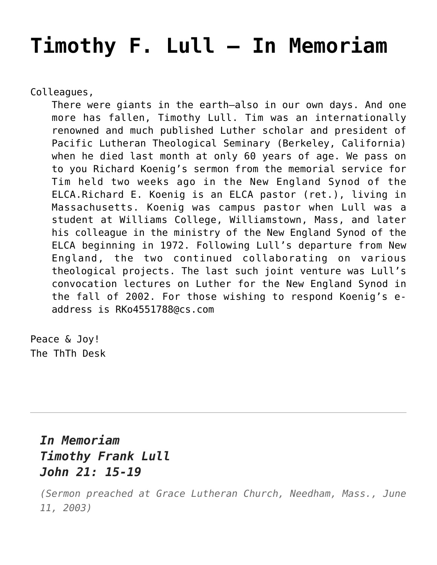## **[Timothy F. Lull – In Memoriam](https://crossings.org/timothy-f-lull-in-memoriam/)**

Colleagues,

There were giants in the earth–also in our own days. And one more has fallen, Timothy Lull. Tim was an internationally renowned and much published Luther scholar and president of Pacific Lutheran Theological Seminary (Berkeley, California) when he died last month at only 60 years of age. We pass on to you Richard Koenig's sermon from the memorial service for Tim held two weeks ago in the New England Synod of the ELCA.Richard E. Koenig is an ELCA pastor (ret.), living in Massachusetts. Koenig was campus pastor when Lull was a student at Williams College, Williamstown, Mass, and later his colleague in the ministry of the New England Synod of the ELCA beginning in 1972. Following Lull's departure from New England, the two continued collaborating on various theological projects. The last such joint venture was Lull's convocation lectures on Luther for the New England Synod in the fall of 2002. For those wishing to respond Koenig's eaddress is RKo4551788@cs.com

Peace & Joy! The ThTh Desk

## *In Memoriam Timothy Frank Lull John 21: 15-19*

*(Sermon preached at Grace Lutheran Church, Needham, Mass., June 11, 2003)*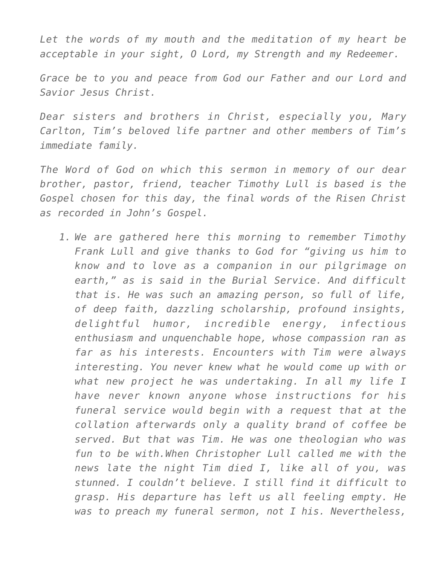*Let the words of my mouth and the meditation of my heart be acceptable in your sight, O Lord, my Strength and my Redeemer.*

*Grace be to you and peace from God our Father and our Lord and Savior Jesus Christ.*

*Dear sisters and brothers in Christ, especially you, Mary Carlton, Tim's beloved life partner and other members of Tim's immediate family.*

*The Word of God on which this sermon in memory of our dear brother, pastor, friend, teacher Timothy Lull is based is the Gospel chosen for this day, the final words of the Risen Christ as recorded in John's Gospel.*

*1. We are gathered here this morning to remember Timothy Frank Lull and give thanks to God for "giving us him to know and to love as a companion in our pilgrimage on earth," as is said in the Burial Service. And difficult that is. He was such an amazing person, so full of life, of deep faith, dazzling scholarship, profound insights, delightful humor, incredible energy, infectious enthusiasm and unquenchable hope, whose compassion ran as far as his interests. Encounters with Tim were always interesting. You never knew what he would come up with or what new project he was undertaking. In all my life I have never known anyone whose instructions for his funeral service would begin with a request that at the collation afterwards only a quality brand of coffee be served. But that was Tim. He was one theologian who was fun to be with.When Christopher Lull called me with the news late the night Tim died I, like all of you, was stunned. I couldn't believe. I still find it difficult to grasp. His departure has left us all feeling empty. He was to preach my funeral sermon, not I his. Nevertheless,*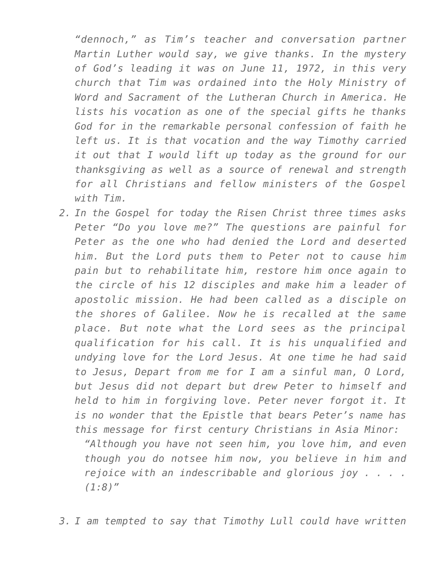*"dennoch," as Tim's teacher and conversation partner Martin Luther would say, we give thanks. In the mystery of God's leading it was on June 11, 1972, in this very church that Tim was ordained into the Holy Ministry of Word and Sacrament of the Lutheran Church in America. He lists his vocation as one of the special gifts he thanks God for in the remarkable personal confession of faith he left us. It is that vocation and the way Timothy carried it out that I would lift up today as the ground for our thanksgiving as well as a source of renewal and strength for all Christians and fellow ministers of the Gospel with Tim.*

*2. In the Gospel for today the Risen Christ three times asks Peter "Do you love me?" The questions are painful for Peter as the one who had denied the Lord and deserted him. But the Lord puts them to Peter not to cause him pain but to rehabilitate him, restore him once again to the circle of his 12 disciples and make him a leader of apostolic mission. He had been called as a disciple on the shores of Galilee. Now he is recalled at the same place. But note what the Lord sees as the principal qualification for his call. It is his unqualified and undying love for the Lord Jesus. At one time he had said to Jesus, Depart from me for I am a sinful man, O Lord, but Jesus did not depart but drew Peter to himself and held to him in forgiving love. Peter never forgot it. It is no wonder that the Epistle that bears Peter's name has this message for first century Christians in Asia Minor:*

*"Although you have not seen him, you love him, and even though you do notsee him now, you believe in him and rejoice with an indescribable and glorious joy . . . . (1:8)"*

*3. I am tempted to say that Timothy Lull could have written*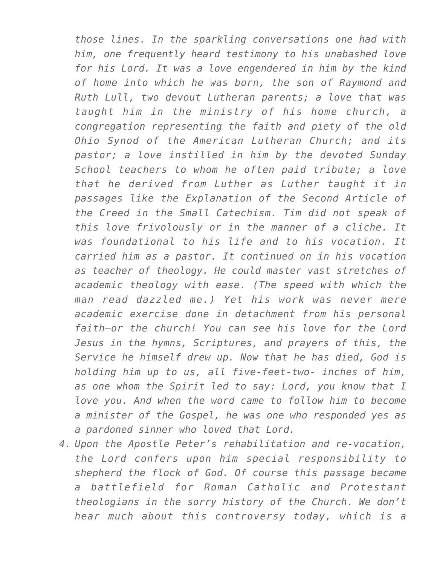*those lines. In the sparkling conversations one had with him, one frequently heard testimony to his unabashed love for his Lord. It was a love engendered in him by the kind of home into which he was born, the son of Raymond and Ruth Lull, two devout Lutheran parents; a love that was taught him in the ministry of his home church, a congregation representing the faith and piety of the old Ohio Synod of the American Lutheran Church; and its pastor; a love instilled in him by the devoted Sunday School teachers to whom he often paid tribute; a love that he derived from Luther as Luther taught it in passages like the Explanation of the Second Article of the Creed in the Small Catechism. Tim did not speak of this love frivolously or in the manner of a cliche. It was foundational to his life and to his vocation. It carried him as a pastor. It continued on in his vocation as teacher of theology. He could master vast stretches of academic theology with ease. (The speed with which the man read dazzled me.) Yet his work was never mere academic exercise done in detachment from his personal faith–or the church! You can see his love for the Lord Jesus in the hymns, Scriptures, and prayers of this, the Service he himself drew up. Now that he has died, God is holding him up to us, all five-feet-two- inches of him, as one whom the Spirit led to say: Lord, you know that I love you. And when the word came to follow him to become a minister of the Gospel, he was one who responded yes as a pardoned sinner who loved that Lord.*

*4. Upon the Apostle Peter's rehabilitation and re-vocation, the Lord confers upon him special responsibility to shepherd the flock of God. Of course this passage became a battlefield for Roman Catholic and Protestant theologians in the sorry history of the Church. We don't hear much about this controversy today, which is a*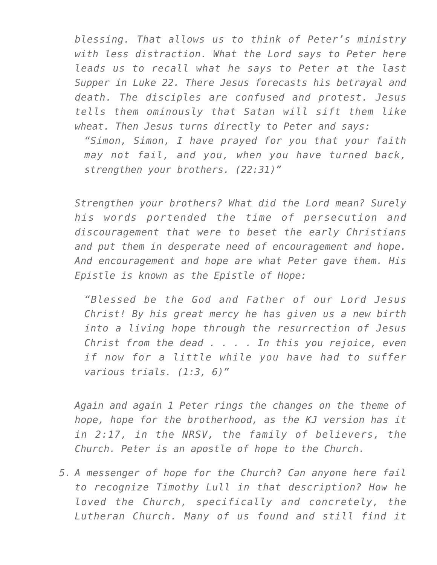*blessing. That allows us to think of Peter's ministry with less distraction. What the Lord says to Peter here leads us to recall what he says to Peter at the last Supper in Luke 22. There Jesus forecasts his betrayal and death. The disciples are confused and protest. Jesus tells them ominously that Satan will sift them like wheat. Then Jesus turns directly to Peter and says:*

*"Simon, Simon, I have prayed for you that your faith may not fail, and you, when you have turned back, strengthen your brothers. (22:31)"*

*Strengthen your brothers? What did the Lord mean? Surely his words portended the time of persecution and discouragement that were to beset the early Christians and put them in desperate need of encouragement and hope. And encouragement and hope are what Peter gave them. His Epistle is known as the Epistle of Hope:*

*"Blessed be the God and Father of our Lord Jesus Christ! By his great mercy he has given us a new birth into a living hope through the resurrection of Jesus Christ from the dead . . . . In this you rejoice, even if now for a little while you have had to suffer various trials. (1:3, 6)"*

*Again and again 1 Peter rings the changes on the theme of hope, hope for the brotherhood, as the KJ version has it in 2:17, in the NRSV, the family of believers, the Church. Peter is an apostle of hope to the Church.*

*5. A messenger of hope for the Church? Can anyone here fail to recognize Timothy Lull in that description? How he loved the Church, specifically and concretely, the Lutheran Church. Many of us found and still find it*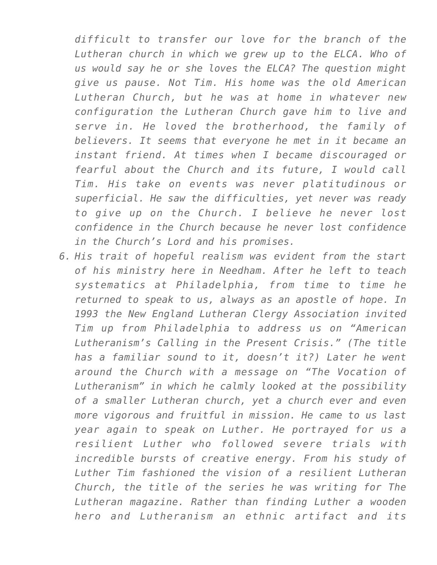*difficult to transfer our love for the branch of the Lutheran church in which we grew up to the ELCA. Who of us would say he or she loves the ELCA? The question might give us pause. Not Tim. His home was the old American Lutheran Church, but he was at home in whatever new configuration the Lutheran Church gave him to live and serve in. He loved the brotherhood, the family of believers. It seems that everyone he met in it became an instant friend. At times when I became discouraged or fearful about the Church and its future, I would call Tim. His take on events was never platitudinous or superficial. He saw the difficulties, yet never was ready to give up on the Church. I believe he never lost confidence in the Church because he never lost confidence in the Church's Lord and his promises.*

*6. His trait of hopeful realism was evident from the start of his ministry here in Needham. After he left to teach systematics at Philadelphia, from time to time he returned to speak to us, always as an apostle of hope. In 1993 the New England Lutheran Clergy Association invited Tim up from Philadelphia to address us on "American Lutheranism's Calling in the Present Crisis." (The title has a familiar sound to it, doesn't it?) Later he went around the Church with a message on "The Vocation of Lutheranism" in which he calmly looked at the possibility of a smaller Lutheran church, yet a church ever and even more vigorous and fruitful in mission. He came to us last year again to speak on Luther. He portrayed for us a resilient Luther who followed severe trials with incredible bursts of creative energy. From his study of Luther Tim fashioned the vision of a resilient Lutheran Church, the title of the series he was writing for The Lutheran magazine. Rather than finding Luther a wooden hero and Lutheranism an ethnic artifact and its*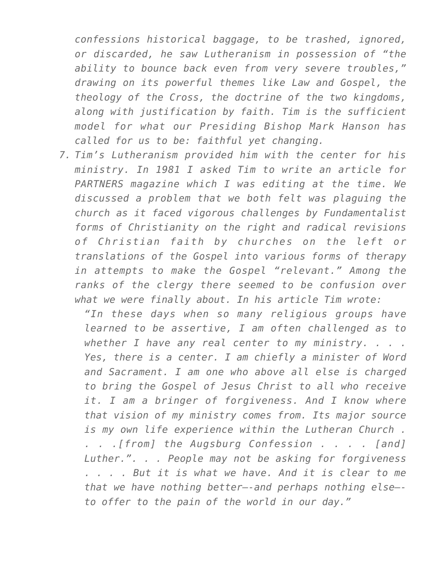*confessions historical baggage, to be trashed, ignored, or discarded, he saw Lutheranism in possession of "the ability to bounce back even from very severe troubles," drawing on its powerful themes like Law and Gospel, the theology of the Cross, the doctrine of the two kingdoms, along with justification by faith. Tim is the sufficient model for what our Presiding Bishop Mark Hanson has called for us to be: faithful yet changing.*

*7. Tim's Lutheranism provided him with the center for his ministry. In 1981 I asked Tim to write an article for PARTNERS magazine which I was editing at the time. We discussed a problem that we both felt was plaguing the church as it faced vigorous challenges by Fundamentalist forms of Christianity on the right and radical revisions of Christian faith by churches on the left or translations of the Gospel into various forms of therapy in attempts to make the Gospel "relevant." Among the ranks of the clergy there seemed to be confusion over what we were finally about. In his article Tim wrote:*

*"In these days when so many religious groups have learned to be assertive, I am often challenged as to whether I have any real center to my ministry. . . . Yes, there is a center. I am chiefly a minister of Word and Sacrament. I am one who above all else is charged to bring the Gospel of Jesus Christ to all who receive it. I am a bringer of forgiveness. And I know where that vision of my ministry comes from. Its major source is my own life experience within the Lutheran Church . . . .[from] the Augsburg Confession . . . . [and] Luther.". . . People may not be asking for forgiveness . . . . But it is what we have. And it is clear to me that we have nothing better–-and perhaps nothing else– to offer to the pain of the world in our day."*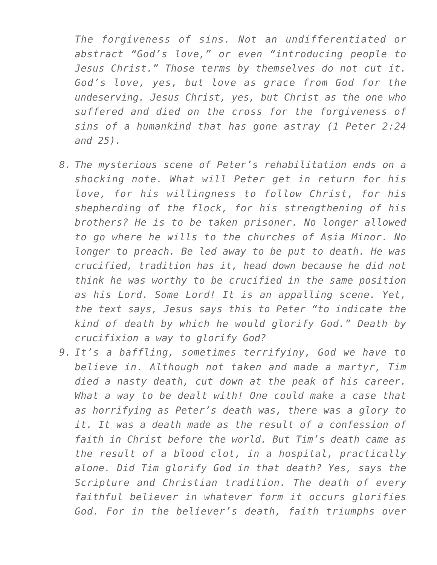*The forgiveness of sins. Not an undifferentiated or abstract "God's love," or even "introducing people to Jesus Christ." Those terms by themselves do not cut it. God's love, yes, but love as grace from God for the undeserving. Jesus Christ, yes, but Christ as the one who suffered and died on the cross for the forgiveness of sins of a humankind that has gone astray (1 Peter 2:24 and 25).*

- *8. The mysterious scene of Peter's rehabilitation ends on a shocking note. What will Peter get in return for his love, for his willingness to follow Christ, for his shepherding of the flock, for his strengthening of his brothers? He is to be taken prisoner. No longer allowed to go where he wills to the churches of Asia Minor. No longer to preach. Be led away to be put to death. He was crucified, tradition has it, head down because he did not think he was worthy to be crucified in the same position as his Lord. Some Lord! It is an appalling scene. Yet, the text says, Jesus says this to Peter "to indicate the kind of death by which he would glorify God." Death by crucifixion a way to glorify God?*
- *9. It's a baffling, sometimes terrifyiny, God we have to believe in. Although not taken and made a martyr, Tim died a nasty death, cut down at the peak of his career. What a way to be dealt with! One could make a case that as horrifying as Peter's death was, there was a glory to it. It was a death made as the result of a confession of faith in Christ before the world. But Tim's death came as the result of a blood clot, in a hospital, practically alone. Did Tim glorify God in that death? Yes, says the Scripture and Christian tradition. The death of every faithful believer in whatever form it occurs glorifies God. For in the believer's death, faith triumphs over*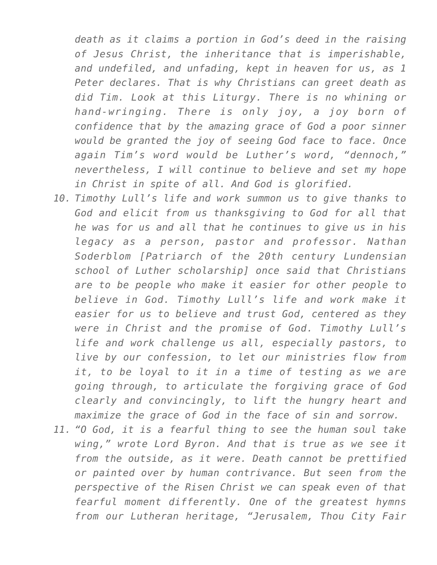*death as it claims a portion in God's deed in the raising of Jesus Christ, the inheritance that is imperishable, and undefiled, and unfading, kept in heaven for us, as 1 Peter declares. That is why Christians can greet death as did Tim. Look at this Liturgy. There is no whining or hand-wringing. There is only joy, a joy born of confidence that by the amazing grace of God a poor sinner would be granted the joy of seeing God face to face. Once again Tim's word would be Luther's word, "dennoch," nevertheless, I will continue to believe and set my hope in Christ in spite of all. And God is glorified.*

- *10. Timothy Lull's life and work summon us to give thanks to God and elicit from us thanksgiving to God for all that he was for us and all that he continues to give us in his legacy as a person, pastor and professor. Nathan Soderblom [Patriarch of the 20th century Lundensian school of Luther scholarship] once said that Christians are to be people who make it easier for other people to believe in God. Timothy Lull's life and work make it easier for us to believe and trust God, centered as they were in Christ and the promise of God. Timothy Lull's life and work challenge us all, especially pastors, to live by our confession, to let our ministries flow from it, to be loyal to it in a time of testing as we are going through, to articulate the forgiving grace of God clearly and convincingly, to lift the hungry heart and maximize the grace of God in the face of sin and sorrow.*
- *11. "O God, it is a fearful thing to see the human soul take wing," wrote Lord Byron. And that is true as we see it from the outside, as it were. Death cannot be prettified or painted over by human contrivance. But seen from the perspective of the Risen Christ we can speak even of that fearful moment differently. One of the greatest hymns from our Lutheran heritage, "Jerusalem, Thou City Fair*